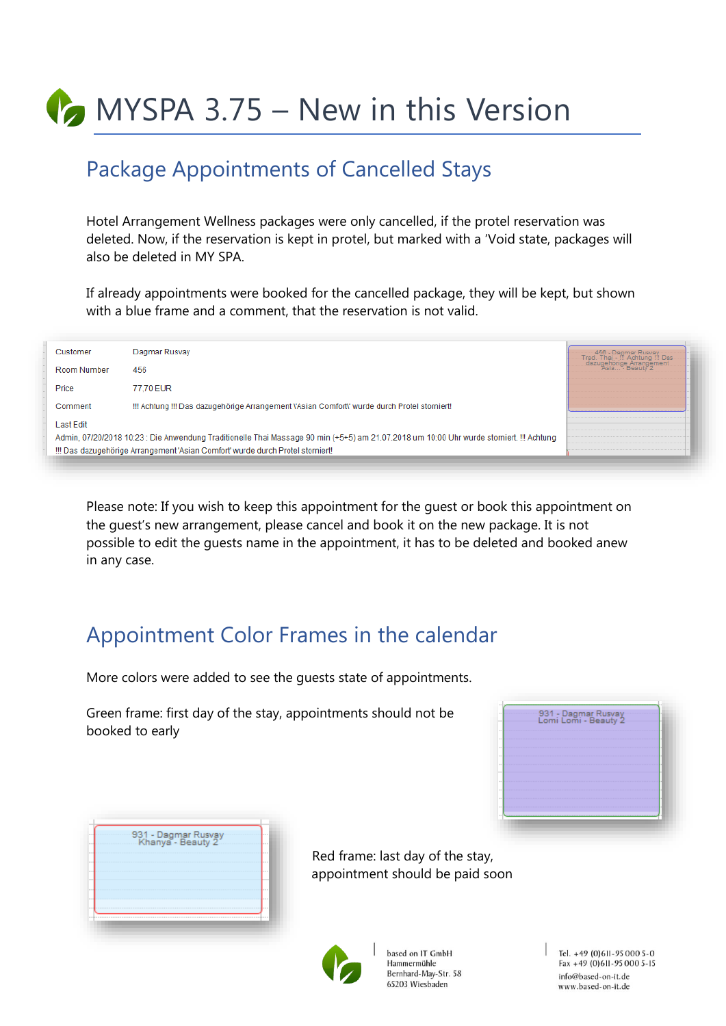**MYSPA 3.75 – New in this Version** 

## Package Appointments of Cancelled Stays

Hotel Arrangement Wellness packages were only cancelled, if the protel reservation was deleted. Now, if the reservation is kept in protel, but marked with a 'Void state, packages will also be deleted in MY SPA.

If already appointments were booked for the cancelled package, they will be kept, but shown with a blue frame and a comment, that the reservation is not valid.

| Customer    | Dagmar Rusvay                                                                                                                            | —— 456 - Dagmar Rusvay<br>-Trad. Thai.-∭ Achtung !!! Das. |
|-------------|------------------------------------------------------------------------------------------------------------------------------------------|-----------------------------------------------------------|
| Room Number | 456                                                                                                                                      | dazugehörige Arrangement                                  |
| Price       | 77.70 EUR                                                                                                                                |                                                           |
| Comment     | !!! Achtung !!! Das dazugehörige Arrangement l'Asian Comfortl' wurde durch Protel storniert!                                             |                                                           |
| Last Edit   |                                                                                                                                          |                                                           |
|             | Admin, 07/20/2018 10:23 : Die Anwendung Traditionelle Thai Massage 90 min (+5+5) am 21.07.2018 um 10:00 Uhr wurde storniert. !!! Achtung |                                                           |
|             | !!! Das dazugehörige Arrangement 'Asian Comfort' wurde durch Protel storniert!                                                           |                                                           |
|             |                                                                                                                                          |                                                           |

Please note: If you wish to keep this appointment for the guest or book this appointment on the guest's new arrangement, please cancel and book it on the new package. It is not possible to edit the guests name in the appointment, it has to be deleted and booked anew in any case.

## Appointment Color Frames in the calendar

More colors were added to see the guests state of appointments.

Green frame: first day of the stay, appointments should not be booked to early

|  |  |  |  |  |  |  | 931 - Dagmar Rusvay<br>Lomi Lomi - Beauty 2 |  |  |  |  |  |  |  |  |  |  |  |  |  |  |  |  |  |  |  |  |  |  |  |  |
|--|--|--|--|--|--|--|---------------------------------------------|--|--|--|--|--|--|--|--|--|--|--|--|--|--|--|--|--|--|--|--|--|--|--|--|
|  |  |  |  |  |  |  |                                             |  |  |  |  |  |  |  |  |  |  |  |  |  |  |  |  |  |  |  |  |  |  |  |  |
|  |  |  |  |  |  |  |                                             |  |  |  |  |  |  |  |  |  |  |  |  |  |  |  |  |  |  |  |  |  |  |  |  |
|  |  |  |  |  |  |  |                                             |  |  |  |  |  |  |  |  |  |  |  |  |  |  |  |  |  |  |  |  |  |  |  |  |
|  |  |  |  |  |  |  |                                             |  |  |  |  |  |  |  |  |  |  |  |  |  |  |  |  |  |  |  |  |  |  |  |  |
|  |  |  |  |  |  |  |                                             |  |  |  |  |  |  |  |  |  |  |  |  |  |  |  |  |  |  |  |  |  |  |  |  |
|  |  |  |  |  |  |  |                                             |  |  |  |  |  |  |  |  |  |  |  |  |  |  |  |  |  |  |  |  |  |  |  |  |
|  |  |  |  |  |  |  |                                             |  |  |  |  |  |  |  |  |  |  |  |  |  |  |  |  |  |  |  |  |  |  |  |  |
|  |  |  |  |  |  |  |                                             |  |  |  |  |  |  |  |  |  |  |  |  |  |  |  |  |  |  |  |  |  |  |  |  |
|  |  |  |  |  |  |  |                                             |  |  |  |  |  |  |  |  |  |  |  |  |  |  |  |  |  |  |  |  |  |  |  |  |
|  |  |  |  |  |  |  |                                             |  |  |  |  |  |  |  |  |  |  |  |  |  |  |  |  |  |  |  |  |  |  |  |  |
|  |  |  |  |  |  |  |                                             |  |  |  |  |  |  |  |  |  |  |  |  |  |  |  |  |  |  |  |  |  |  |  |  |

|  | -931 - Dagmar Rusvay<br>Khanya - Beauty 2 |  |  | $-1.11$<br>$-111$ |
|--|-------------------------------------------|--|--|-------------------|
|  |                                           |  |  | <b>ALC UNIT</b>   |
|  |                                           |  |  | <b>ALC UNITED</b> |
|  |                                           |  |  |                   |
|  |                                           |  |  |                   |
|  |                                           |  |  |                   |
|  |                                           |  |  | <b>COLLEGE UP</b> |
|  |                                           |  |  | $-1.11$           |
|  |                                           |  |  |                   |

Red frame: last day of the stay, appointment should be paid soon



based on IT GmbH Hammermühle Bernhard-May-Str. 58 65203 Wiesbaden

Tel. +49 (0)611-95 000 5-0 Fax +49 (0) 611-95 000 5-15 info@based-on-it.de www.based-on-it.de